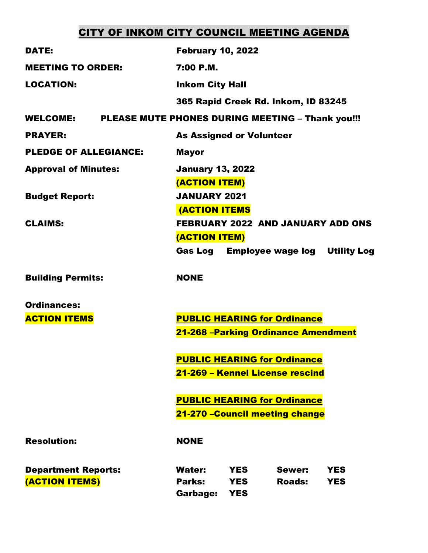# CITY OF INKOM CITY COUNCIL MEETING AGENDA

| <b>DATE:</b>                                                           | <b>February 10, 2022</b>                                                                                                                                                                      |
|------------------------------------------------------------------------|-----------------------------------------------------------------------------------------------------------------------------------------------------------------------------------------------|
| <b>MEETING TO ORDER:</b>                                               | 7:00 P.M.                                                                                                                                                                                     |
| <b>LOCATION:</b>                                                       | <b>Inkom City Hall</b>                                                                                                                                                                        |
|                                                                        | 365 Rapid Creek Rd. Inkom, ID 83245                                                                                                                                                           |
| <b>WELCOME:</b>                                                        | PLEASE MUTE PHONES DURING MEETING - Thank you!!!                                                                                                                                              |
| <b>PRAYER:</b>                                                         | <b>As Assigned or Volunteer</b>                                                                                                                                                               |
| <b>PLEDGE OF ALLEGIANCE:</b>                                           | <b>Mayor</b>                                                                                                                                                                                  |
| <b>Approval of Minutes:</b><br><b>Budget Report:</b><br><b>CLAIMS:</b> | <b>January 13, 2022</b><br>(ACTION ITEM)<br><b>JANUARY 2021</b><br><b>(ACTION ITEMS</b><br>FEBRUARY 2022 AND JANUARY ADD ONS<br>(ACTION ITEM)<br><b>Gas Log Employee wage log Utility Log</b> |
| <b>Building Permits:</b>                                               | <b>NONE</b>                                                                                                                                                                                   |
| <b>Ordinances:</b>                                                     |                                                                                                                                                                                               |
| <b>ACTION ITEMS</b>                                                    | <b>PUBLIC HEARING for Ordinance</b><br>21-268 -Parking Ordinance Amendment                                                                                                                    |
|                                                                        | <b>PUBLIC HEARING for Ordinance</b><br>21-269 - Kennel License rescind                                                                                                                        |
|                                                                        | <b>PUBLIC HEARING for Ordinance</b><br>21-270 - Council meeting change                                                                                                                        |
| <b>Resolution:</b>                                                     | <b>NONE</b>                                                                                                                                                                                   |
| <b>Department Reports:</b><br>(ACTION ITEMS)                           | <b>Water:</b><br><b>YES</b><br>Sewer:<br><b>YES</b><br>Parks:<br><b>YES</b><br><b>YES</b><br><b>Roads:</b><br>Garbage:<br><b>YES</b>                                                          |